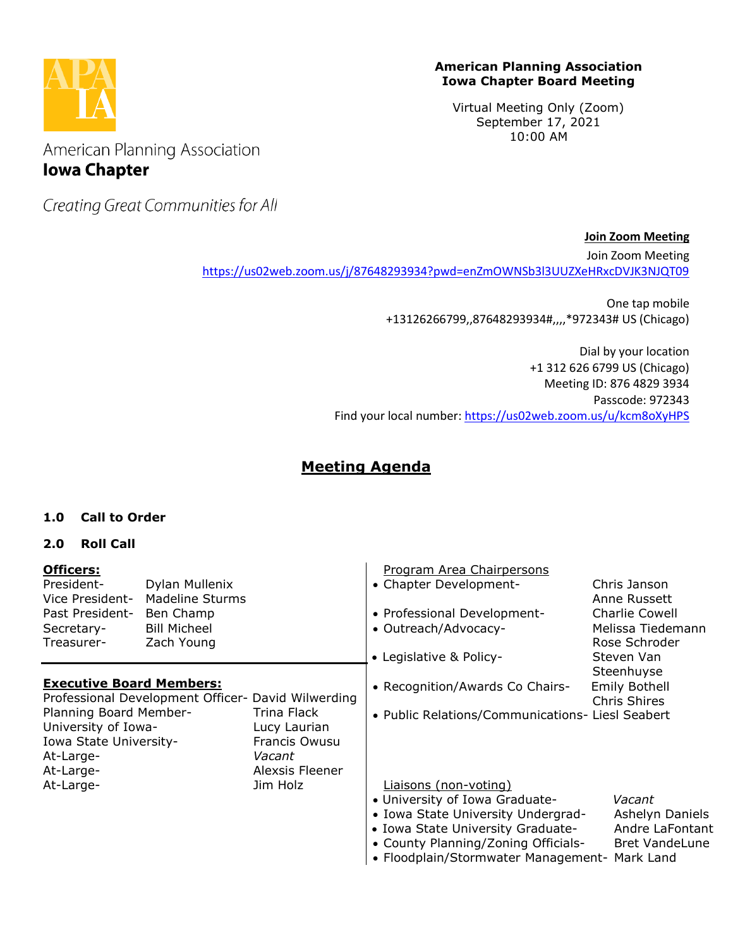

#### **American Planning Association Iowa Chapter Board Meeting**

Virtual Meeting Only (Zoom) September 17, 2021 10:00 AM

American Planning Association **Iowa Chapter** 

Creating Great Communities for All

**Join Zoom Meeting**

Join Zoom Meeting <https://us02web.zoom.us/j/87648293934?pwd=enZmOWNSb3l3UUZXeHRxcDVJK3NJQT09>

> One tap mobile +13126266799,,87648293934#,,,,\*972343# US (Chicago)

Dial by your location +1 312 626 6799 US (Chicago) Meeting ID: 876 4829 3934 Passcode: 972343 Find your local number:<https://us02web.zoom.us/u/kcm8oXyHPS>

# **Meeting Agenda**

## **1.0 Call to Order**

## **2.0 Roll Call**

| Officers:<br>President-<br>Vice President-<br>Past President-<br>Secretary-<br>Treasurer-                                      | Dylan Mullenix<br>Madeline Sturms<br>Ben Champ<br><b>Bill Micheel</b><br>Zach Young |                                         | Program Area Chairpersons<br>• Chapter Development-<br>• Professional Development-<br>• Outreach/Advocacy-                                                                                                                 | Chris Janson<br>Anne Russett<br>Charlie Cowell<br>Melissa Tiedemann<br>Rose Schroder |
|--------------------------------------------------------------------------------------------------------------------------------|-------------------------------------------------------------------------------------|-----------------------------------------|----------------------------------------------------------------------------------------------------------------------------------------------------------------------------------------------------------------------------|--------------------------------------------------------------------------------------|
|                                                                                                                                |                                                                                     |                                         | • Legislative & Policy-                                                                                                                                                                                                    | Steven Van<br>Steenhuyse                                                             |
| <b>Executive Board Members:</b><br>Professional Development Officer- David Wilwerding<br>Planning Board Member-<br>Trina Flack |                                                                                     |                                         | • Recognition/Awards Co Chairs-                                                                                                                                                                                            | Emily Bothell<br><b>Chris Shires</b>                                                 |
| University of Iowa-<br>Iowa State University-<br>At-Large-                                                                     |                                                                                     | Lucy Laurian<br>Francis Owusu<br>Vacant | • Public Relations/Communications- Liesl Seabert                                                                                                                                                                           |                                                                                      |
| At-Large-                                                                                                                      |                                                                                     | Alexsis Fleener                         |                                                                                                                                                                                                                            |                                                                                      |
| At-Large-                                                                                                                      |                                                                                     | Jim Holz                                | Liaisons (non-voting)<br>• University of Iowa Graduate-<br>• Iowa State University Undergrad-<br>• Iowa State University Graduate-<br>• County Planning/Zoning Officials-<br>• Floodplain/Stormwater Management- Mark Land | Vacant<br>Ashelyn Daniels<br>Andre LaFontant<br><b>Bret VandeLune</b>                |